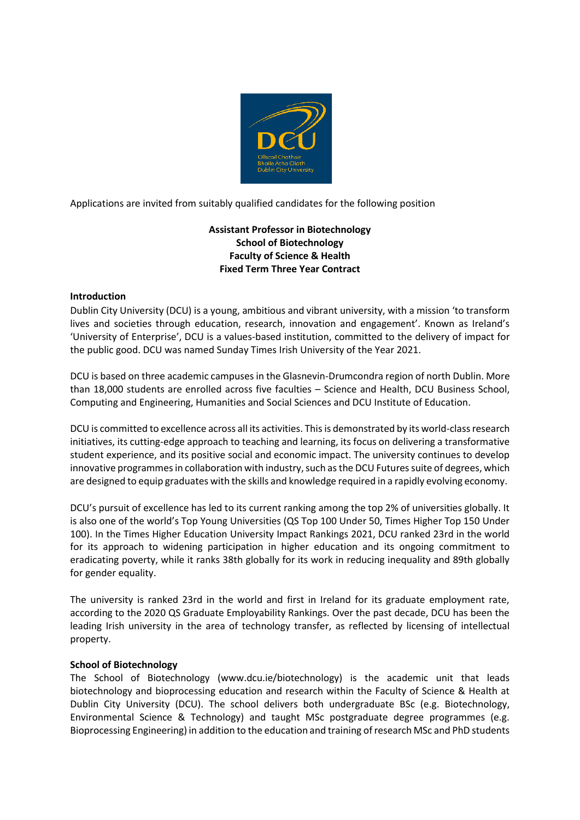

Applications are invited from suitably qualified candidates for the following position

# **Assistant Professor in Biotechnology School of Biotechnology Faculty of Science & Health Fixed Term Three Year Contract**

### **Introduction**

Dublin City University (DCU) is a young, ambitious and vibrant university, with a mission 'to transform lives and societies through education, research, innovation and engagement'. Known as Ireland's 'University of Enterprise', DCU is a values-based institution, committed to the delivery of impact for the public good. DCU was named Sunday Times Irish University of the Year 2021.

DCU is based on three academic campuses in the Glasnevin-Drumcondra region of north Dublin. More than 18,000 students are enrolled across five faculties – Science and Health, DCU Business School, Computing and Engineering, Humanities and Social Sciences and DCU Institute of Education.

DCU is committed to excellence across all its activities. This is demonstrated by its world-class research initiatives, its cutting-edge approach to teaching and learning, its focus on delivering a transformative student experience, and its positive social and economic impact. The university continues to develop innovative programmes in collaboration with industry, such as the DCU Futures suite of degrees, which are designed to equip graduates with the skills and knowledge required in a rapidly evolving economy.

DCU's pursuit of excellence has led to its current ranking among the top 2% of universities globally. It is also one of the world's Top Young Universities (QS Top 100 Under 50, Times Higher Top 150 Under 100). In the Times Higher Education University Impact Rankings 2021, DCU ranked 23rd in the world for its approach to widening participation in higher education and its ongoing commitment to eradicating poverty, while it ranks 38th globally for its work in reducing inequality and 89th globally for gender equality.

The university is ranked 23rd in the world and first in Ireland for its graduate employment rate, according to the 2020 QS Graduate Employability Rankings. Over the past decade, DCU has been the leading Irish university in the area of technology transfer, as reflected by licensing of intellectual property.

#### **School of Biotechnology**

The School of Biotechnology (www.dcu.ie/biotechnology) is the academic unit that leads biotechnology and bioprocessing education and research within the Faculty of Science & Health at Dublin City University (DCU). The school delivers both undergraduate BSc (e.g. Biotechnology, Environmental Science & Technology) and taught MSc postgraduate degree programmes (e.g. Bioprocessing Engineering) in addition to the education and training of research MSc and PhD students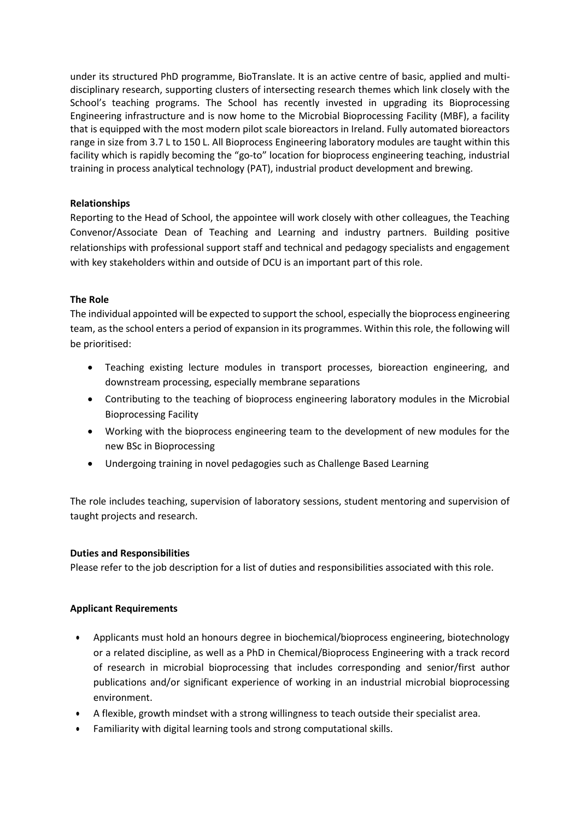under its structured PhD programme, BioTranslate. It is an active centre of basic, applied and multidisciplinary research, supporting clusters of intersecting research themes which link closely with the School's teaching programs. The School has recently invested in upgrading its Bioprocessing Engineering infrastructure and is now home to the Microbial Bioprocessing Facility (MBF), a facility that is equipped with the most modern pilot scale bioreactors in Ireland. Fully automated bioreactors range in size from 3.7 L to 150 L. All Bioprocess Engineering laboratory modules are taught within this facility which is rapidly becoming the "go-to" location for bioprocess engineering teaching, industrial training in process analytical technology (PAT), industrial product development and brewing.

## **Relationships**

Reporting to the Head of School, the appointee will work closely with other colleagues, the Teaching Convenor/Associate Dean of Teaching and Learning and industry partners. Building positive relationships with professional support staff and technical and pedagogy specialists and engagement with key stakeholders within and outside of DCU is an important part of this role.

#### **The Role**

The individual appointed will be expected to support the school, especially the bioprocess engineering team, as the school enters a period of expansion in its programmes. Within this role, the following will be prioritised:

- Teaching existing lecture modules in transport processes, bioreaction engineering, and downstream processing, especially membrane separations
- Contributing to the teaching of bioprocess engineering laboratory modules in the Microbial Bioprocessing Facility
- Working with the bioprocess engineering team to the development of new modules for the new BSc in Bioprocessing
- Undergoing training in novel pedagogies such as Challenge Based Learning

The role includes teaching, supervision of laboratory sessions, student mentoring and supervision of taught projects and research.

#### **Duties and Responsibilities**

Please refer to the job description for a list of duties and responsibilities associated with this role.

#### **Applicant Requirements**

- Applicants must hold an honours degree in biochemical/bioprocess engineering, biotechnology or a related discipline, as well as a PhD in Chemical/Bioprocess Engineering with a track record of research in microbial bioprocessing that includes corresponding and senior/first author publications and/or significant experience of working in an industrial microbial bioprocessing environment.
- A flexible, growth mindset with a strong willingness to teach outside their specialist area.
- Familiarity with digital learning tools and strong computational skills.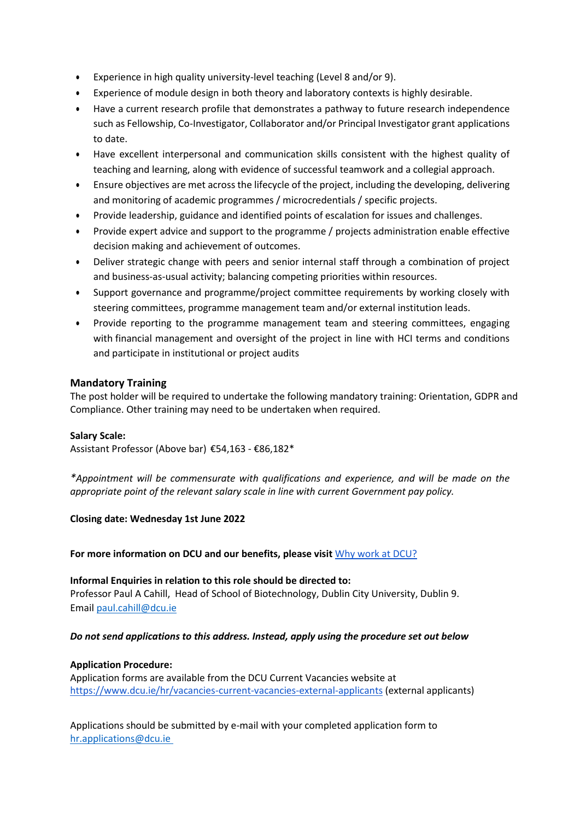- Experience in high quality university-level teaching (Level 8 and/or 9).
- Experience of module design in both theory and laboratory contexts is highly desirable.
- Have a current research profile that demonstrates a pathway to future research independence such as Fellowship, Co-Investigator, Collaborator and/or Principal Investigator grant applications to date.
- Have excellent interpersonal and communication skills consistent with the highest quality of teaching and learning, along with evidence of successful teamwork and a collegial approach.
- Ensure objectives are met across the lifecycle of the project, including the developing, delivering and monitoring of academic programmes / microcredentials / specific projects.
- Provide leadership, guidance and identified points of escalation for issues and challenges.
- Provide expert advice and support to the programme / projects administration enable effective decision making and achievement of outcomes.
- Deliver strategic change with peers and senior internal staff through a combination of project and business-as-usual activity; balancing competing priorities within resources.
- Support governance and programme/project committee requirements by working closely with steering committees, programme management team and/or external institution leads.
- Provide reporting to the programme management team and steering committees, engaging with financial management and oversight of the project in line with HCI terms and conditions and participate in institutional or project audits

# **Mandatory Training**

The post holder will be required to undertake the following mandatory training: Orientation, GDPR and Compliance. Other training may need to be undertaken when required.

#### **Salary Scale:**

Assistant Professor (Above bar) €54,163 - €86,182\*

*\*Appointment will be commensurate with qualifications and experience, and will be made on the appropriate point of the relevant salary scale in line with current Government pay policy.*

**Closing date: Wednesday 1st June 2022**

**For more information on DCU and our benefits, please visit** [Why work](https://www.dcu.ie/hr/why-work-dcu) at DCU?

**Informal Enquiries in relation to this role should be directed to:** Professor Paul A Cahill, Head of School of Biotechnology, Dublin City University, Dublin 9. Email [paul.cahill@dcu.ie](mailto:paul.cahill@dcu.ie)

#### *Do not send applications to this address. Instead, apply using the procedure set out below*

## **Application Procedure:**

Application forms are available from the DCU Current Vacancies website at <https://www.dcu.ie/hr/vacancies-current-vacancies-external-applicants> (external applicants)

Applications should be submitted by e-mail with your completed application form to [hr.applications@dcu.ie](mailto:hr.applications@dcu.ie)